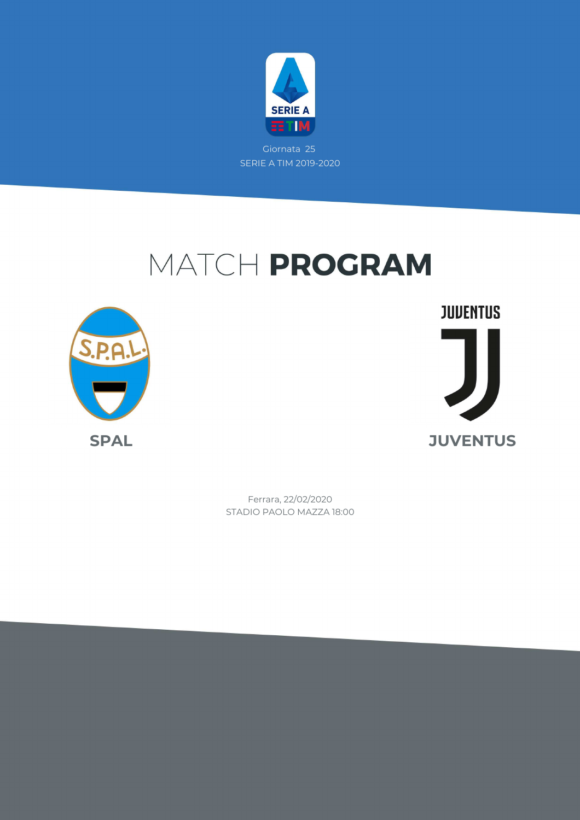

Giornata 25 SERIE A TIM 2019-2020

# MATCH PROGRAM



**JUVENTUS SPAL JUVENTUS**

> STADIO PAOLO MAZZA 18:00 Ferrara, 22/02/2020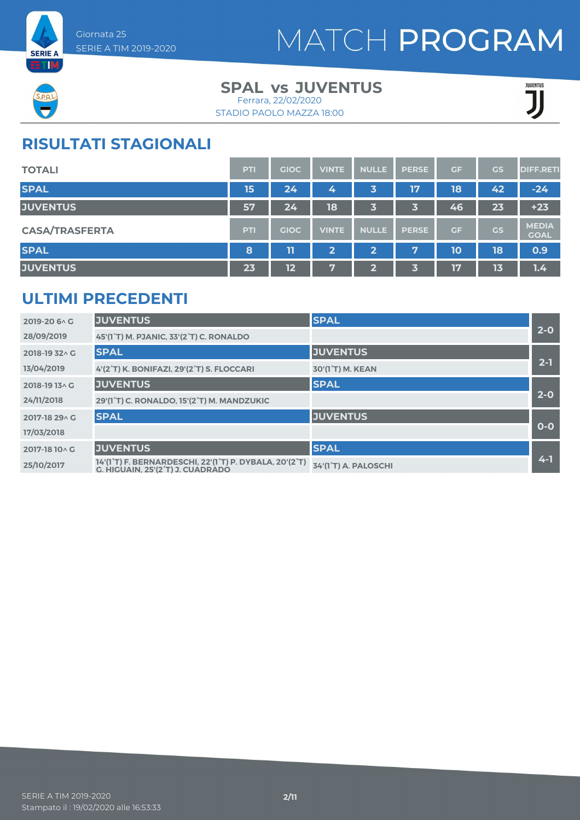



### **SPAL JUVENTUS vs** Ferrara, 22/02/2020

STADIO PAOLO MAZZA 18:00

JUENTUS

## **RISULTATI STAGIONALI**

| <b>TOTALI</b>         | <b>PTI</b> | <b>GIOC</b> | <b>VINTE</b>   | <b>NULLE</b>            | <b>PERSE</b> | GF | <b>GS</b> | <b>DIFF.RETI</b>            |
|-----------------------|------------|-------------|----------------|-------------------------|--------------|----|-----------|-----------------------------|
| <b>SPAL</b>           | 15         | 24          | 4              | 3                       | 17           | 18 | 42        | $-24$                       |
| <b>JUVENTUS</b>       | 57         | 24          | 18             | 3                       | 3            | 46 | 23        | $+23$                       |
| <b>CASA/TRASFERTA</b> | <b>PTI</b> | <b>GIOC</b> | <b>VINTE</b>   | <b>NULLE</b>            | <b>PERSE</b> | GF | <b>GS</b> | <b>MEDIA</b><br><b>GOAL</b> |
| <b>SPAL</b>           | 8          | 11          | $\overline{2}$ | $\overline{\mathbf{2}}$ | 7            | 10 | 18        | 0.9                         |
| <b>JUVENTUS</b>       | 23         | 12          | 7              | $\mathbf{Z}$            | 3            | 17 | 13        | 1.4                         |

## **ULTIMI PRECEDENTI**

| 2019-20 6 \ G  | <b>JUVENTUS</b>                                                                            | <b>SPAL</b>          |         |
|----------------|--------------------------------------------------------------------------------------------|----------------------|---------|
| 28/09/2019     | 45'(1°T) M. PJANIC, 33'(2°T) C. RONALDO                                                    |                      | $2-0$   |
| 2018-19 32 \ G | <b>SPAL</b>                                                                                | <b>JUVENTUS</b>      |         |
| 13/04/2019     | 4'(2°T) K. BONIFAZI, 29'(2°T) S. FLOCCARI                                                  | 30'(1°T) M. KEAN     | $2 - 1$ |
| 2018-19 13^ G  | <b>JUVENTUS</b>                                                                            | <b>SPAL</b>          |         |
| 24/11/2018     | 29'(1°T) C. RONALDO, 15'(2°T) M. MANDZUKIC                                                 |                      | $2-0$   |
| 2017-18 29 A G | <b>SPAL</b>                                                                                | <b>JUVENTUS</b>      |         |
| 17/03/2018     |                                                                                            |                      | $0-0$   |
| 2017-18 10 \ G | <b>JUVENTUS</b>                                                                            | <b>SPAL</b>          |         |
| 25/10/2017     | 14'(1°T) F. BERNARDESCHI, 22'(1°T) P. DYBALA, 20'(2°T)<br>G. HIGUAIN. 25'(2°T) J. CUADRADO | 34'(1°T) A. PALOSCHI | $4 - 1$ |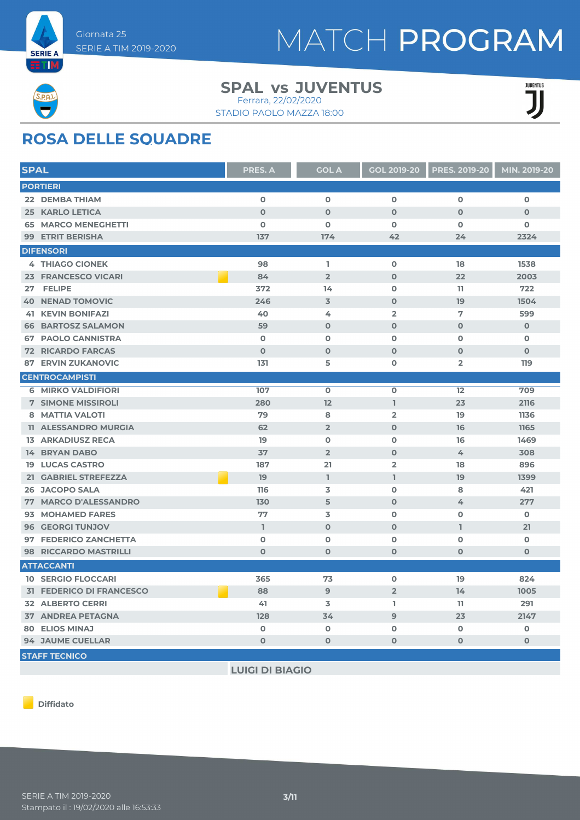

### **SPAL JUVENTUS vs** Ferrara, 22/02/2020

STADIO PAOLO MAZZA 18:00



## **ROSA DELLE SQUADRE**

| <b>PORTIERI</b><br>$\mathbf 0$<br>$\mathbf 0$<br>$\mathbf 0$<br>$\mathbf 0$<br>22 DEMBA THIAM<br>$\mathbf 0$<br>$\mathbf 0$<br>$\mathbf 0$<br><b>25 KARLO LETICA</b><br>$\Omega$<br>$\Omega$<br>$\mathbf 0$<br>$\mathbf 0$<br>$\mathbf 0$<br><b>65 MARCO MENEGHETTI</b><br>$\mathbf 0$<br>$\mathbf 0$<br>$\mathbf 0$<br>137<br><b>99 ETRIT BERISHA</b><br>174<br>42<br>24<br>2324<br><b>DIFENSORI</b><br><b>4 THIAGO CIONEK</b><br>L.<br>$\mathbf 0$<br>18<br>98<br>1538<br>23 FRANCESCO VICARI<br>84<br>$\overline{2}$<br>$\mathbf 0$<br>2003<br>22<br>372<br>$\Omega$<br>722<br>27 FELIPE<br>14<br>11<br>246<br>$\overline{3}$<br>$\mathbf 0$<br>1504<br><b>40 NENAD TOMOVIC</b><br>19<br><b>41 KEVIN BONIFAZI</b><br>40<br>4<br>$\overline{2}$<br>7<br>599<br>59<br>$\mathbf 0$<br>$\mathbf 0$<br>$\mathbf{O}$<br>$\mathbf 0$<br><b>66 BARTOSZ SALAMON</b><br><b>67 PAOLO CANNISTRA</b><br>$\mathbf 0$<br>$\mathbf 0$<br>$\mathbf 0$<br>$\mathbf 0$<br>$\mathbf 0$<br>$\mathbf 0$<br>$\mathbf 0$<br>$\mathbf 0$<br>$\mathbf{O}$<br><b>72 RICARDO FARCAS</b><br>$\mathbf 0$<br>131<br>5<br>$\Omega$<br>$\overline{2}$<br><b>ERVIN ZUKANOVIC</b><br>119<br>87<br><b>CENTROCAMPISTI</b><br>$\mathbf 0$<br><b>6 MIRKO VALDIFIORI</b><br>107<br>$\mathbf 0$<br>12<br>709<br>280<br>12<br>$\mathbb{I}$<br>23<br><b>7 SIMONE MISSIROLI</b><br>2116<br>79<br>8<br>$\overline{2}$<br>8 MATTIA VALOTI<br>19<br>1136<br>62<br>$\overline{2}$<br>$\mathbf 0$<br>11 ALESSANDRO MURGIA<br>16<br>1165<br><b>13 ARKADIUSZ RECA</b><br>19<br>$\mathbf 0$<br>$\mathbf 0$<br>1469<br>16<br>37<br>$\overline{2}$<br><b>14 BRYAN DABO</b><br>$\mathbf 0$<br>4<br>308<br><b>19 LUCAS CASTRO</b><br>187<br>21<br>$\overline{2}$<br>18<br>896<br>$\mathbb{I}$<br>$\mathbb{I}$<br>19<br>19<br>21 GABRIEL STREFEZZA<br>1399<br>116<br>$\Omega$<br>26 JACOPO SALA<br>3<br>8<br>421<br>77 MARCO D'ALESSANDRO<br>130<br>5<br>$\mathbf 0$<br>4<br>277<br>77<br>3<br>$\Omega$<br>$\Omega$<br>$\Omega$<br>93 MOHAMED FARES<br><b>96 GEORGI TUNJOV</b><br>$\mathbb{I}$<br>$\mathbf 0$<br>$\mathbf 0$<br>L<br>21<br>$\mathbf 0$<br>$\Omega$<br>$\mathbf 0$<br>97 FEDERICO ZANCHETTA<br>$\Omega$<br>$\mathbf 0$<br>$\mathbf{O}$<br>$\mathbf 0$<br>$\mathbf{O}$<br><b>98 RICCARDO MASTRILLI</b><br>$\mathbf 0$<br>$\mathbf 0$<br><b>ATTACCANTI</b><br>$\mathbf 0$<br><b>10 SERGIO FLOCCARI</b><br>365<br>73<br>19<br>824<br>$\overline{2}$<br><b>31 FEDERICO DI FRANCESCO</b><br>88<br>9<br>14<br>1005<br><b>32 ALBERTO CERRI</b><br>3<br>L.<br>291<br>41<br>11<br><b>37 ANDREA PETAGNA</b><br>128<br>34<br>9<br>23<br>2147<br><b>80 ELIOS MINAJ</b><br>0<br>$\mathbf 0$<br>O<br>$\mathbf 0$<br>O<br><b>94 JAUME CUELLAR</b><br>$\mathbf{O}$<br>$\mathbf 0$<br>$\mathbf 0$<br>$\Omega$<br>$\mathbf 0$<br><b>STAFF TECNICO</b> | <b>SPAL</b> | <b>PRES. A</b> | <b>GOL A</b> | <b>GOL 2019-20</b> | <b>PRES. 2019-20</b> | MIN. 2019-20 |
|----------------------------------------------------------------------------------------------------------------------------------------------------------------------------------------------------------------------------------------------------------------------------------------------------------------------------------------------------------------------------------------------------------------------------------------------------------------------------------------------------------------------------------------------------------------------------------------------------------------------------------------------------------------------------------------------------------------------------------------------------------------------------------------------------------------------------------------------------------------------------------------------------------------------------------------------------------------------------------------------------------------------------------------------------------------------------------------------------------------------------------------------------------------------------------------------------------------------------------------------------------------------------------------------------------------------------------------------------------------------------------------------------------------------------------------------------------------------------------------------------------------------------------------------------------------------------------------------------------------------------------------------------------------------------------------------------------------------------------------------------------------------------------------------------------------------------------------------------------------------------------------------------------------------------------------------------------------------------------------------------------------------------------------------------------------------------------------------------------------------------------------------------------------------------------------------------------------------------------------------------------------------------------------------------------------------------------------------------------------------------------------------------------------------------------------------------------------------------------------------------------------------------------------------------------------------------------------------------------------------------------------------------------------------------------------------------------------------------------------------------------------------------------------------|-------------|----------------|--------------|--------------------|----------------------|--------------|
|                                                                                                                                                                                                                                                                                                                                                                                                                                                                                                                                                                                                                                                                                                                                                                                                                                                                                                                                                                                                                                                                                                                                                                                                                                                                                                                                                                                                                                                                                                                                                                                                                                                                                                                                                                                                                                                                                                                                                                                                                                                                                                                                                                                                                                                                                                                                                                                                                                                                                                                                                                                                                                                                                                                                                                                              |             |                |              |                    |                      |              |
|                                                                                                                                                                                                                                                                                                                                                                                                                                                                                                                                                                                                                                                                                                                                                                                                                                                                                                                                                                                                                                                                                                                                                                                                                                                                                                                                                                                                                                                                                                                                                                                                                                                                                                                                                                                                                                                                                                                                                                                                                                                                                                                                                                                                                                                                                                                                                                                                                                                                                                                                                                                                                                                                                                                                                                                              |             |                |              |                    |                      |              |
|                                                                                                                                                                                                                                                                                                                                                                                                                                                                                                                                                                                                                                                                                                                                                                                                                                                                                                                                                                                                                                                                                                                                                                                                                                                                                                                                                                                                                                                                                                                                                                                                                                                                                                                                                                                                                                                                                                                                                                                                                                                                                                                                                                                                                                                                                                                                                                                                                                                                                                                                                                                                                                                                                                                                                                                              |             |                |              |                    |                      |              |
|                                                                                                                                                                                                                                                                                                                                                                                                                                                                                                                                                                                                                                                                                                                                                                                                                                                                                                                                                                                                                                                                                                                                                                                                                                                                                                                                                                                                                                                                                                                                                                                                                                                                                                                                                                                                                                                                                                                                                                                                                                                                                                                                                                                                                                                                                                                                                                                                                                                                                                                                                                                                                                                                                                                                                                                              |             |                |              |                    |                      |              |
|                                                                                                                                                                                                                                                                                                                                                                                                                                                                                                                                                                                                                                                                                                                                                                                                                                                                                                                                                                                                                                                                                                                                                                                                                                                                                                                                                                                                                                                                                                                                                                                                                                                                                                                                                                                                                                                                                                                                                                                                                                                                                                                                                                                                                                                                                                                                                                                                                                                                                                                                                                                                                                                                                                                                                                                              |             |                |              |                    |                      |              |
|                                                                                                                                                                                                                                                                                                                                                                                                                                                                                                                                                                                                                                                                                                                                                                                                                                                                                                                                                                                                                                                                                                                                                                                                                                                                                                                                                                                                                                                                                                                                                                                                                                                                                                                                                                                                                                                                                                                                                                                                                                                                                                                                                                                                                                                                                                                                                                                                                                                                                                                                                                                                                                                                                                                                                                                              |             |                |              |                    |                      |              |
|                                                                                                                                                                                                                                                                                                                                                                                                                                                                                                                                                                                                                                                                                                                                                                                                                                                                                                                                                                                                                                                                                                                                                                                                                                                                                                                                                                                                                                                                                                                                                                                                                                                                                                                                                                                                                                                                                                                                                                                                                                                                                                                                                                                                                                                                                                                                                                                                                                                                                                                                                                                                                                                                                                                                                                                              |             |                |              |                    |                      |              |
|                                                                                                                                                                                                                                                                                                                                                                                                                                                                                                                                                                                                                                                                                                                                                                                                                                                                                                                                                                                                                                                                                                                                                                                                                                                                                                                                                                                                                                                                                                                                                                                                                                                                                                                                                                                                                                                                                                                                                                                                                                                                                                                                                                                                                                                                                                                                                                                                                                                                                                                                                                                                                                                                                                                                                                                              |             |                |              |                    |                      |              |
|                                                                                                                                                                                                                                                                                                                                                                                                                                                                                                                                                                                                                                                                                                                                                                                                                                                                                                                                                                                                                                                                                                                                                                                                                                                                                                                                                                                                                                                                                                                                                                                                                                                                                                                                                                                                                                                                                                                                                                                                                                                                                                                                                                                                                                                                                                                                                                                                                                                                                                                                                                                                                                                                                                                                                                                              |             |                |              |                    |                      |              |
|                                                                                                                                                                                                                                                                                                                                                                                                                                                                                                                                                                                                                                                                                                                                                                                                                                                                                                                                                                                                                                                                                                                                                                                                                                                                                                                                                                                                                                                                                                                                                                                                                                                                                                                                                                                                                                                                                                                                                                                                                                                                                                                                                                                                                                                                                                                                                                                                                                                                                                                                                                                                                                                                                                                                                                                              |             |                |              |                    |                      |              |
|                                                                                                                                                                                                                                                                                                                                                                                                                                                                                                                                                                                                                                                                                                                                                                                                                                                                                                                                                                                                                                                                                                                                                                                                                                                                                                                                                                                                                                                                                                                                                                                                                                                                                                                                                                                                                                                                                                                                                                                                                                                                                                                                                                                                                                                                                                                                                                                                                                                                                                                                                                                                                                                                                                                                                                                              |             |                |              |                    |                      |              |
|                                                                                                                                                                                                                                                                                                                                                                                                                                                                                                                                                                                                                                                                                                                                                                                                                                                                                                                                                                                                                                                                                                                                                                                                                                                                                                                                                                                                                                                                                                                                                                                                                                                                                                                                                                                                                                                                                                                                                                                                                                                                                                                                                                                                                                                                                                                                                                                                                                                                                                                                                                                                                                                                                                                                                                                              |             |                |              |                    |                      |              |
|                                                                                                                                                                                                                                                                                                                                                                                                                                                                                                                                                                                                                                                                                                                                                                                                                                                                                                                                                                                                                                                                                                                                                                                                                                                                                                                                                                                                                                                                                                                                                                                                                                                                                                                                                                                                                                                                                                                                                                                                                                                                                                                                                                                                                                                                                                                                                                                                                                                                                                                                                                                                                                                                                                                                                                                              |             |                |              |                    |                      |              |
|                                                                                                                                                                                                                                                                                                                                                                                                                                                                                                                                                                                                                                                                                                                                                                                                                                                                                                                                                                                                                                                                                                                                                                                                                                                                                                                                                                                                                                                                                                                                                                                                                                                                                                                                                                                                                                                                                                                                                                                                                                                                                                                                                                                                                                                                                                                                                                                                                                                                                                                                                                                                                                                                                                                                                                                              |             |                |              |                    |                      |              |
|                                                                                                                                                                                                                                                                                                                                                                                                                                                                                                                                                                                                                                                                                                                                                                                                                                                                                                                                                                                                                                                                                                                                                                                                                                                                                                                                                                                                                                                                                                                                                                                                                                                                                                                                                                                                                                                                                                                                                                                                                                                                                                                                                                                                                                                                                                                                                                                                                                                                                                                                                                                                                                                                                                                                                                                              |             |                |              |                    |                      |              |
|                                                                                                                                                                                                                                                                                                                                                                                                                                                                                                                                                                                                                                                                                                                                                                                                                                                                                                                                                                                                                                                                                                                                                                                                                                                                                                                                                                                                                                                                                                                                                                                                                                                                                                                                                                                                                                                                                                                                                                                                                                                                                                                                                                                                                                                                                                                                                                                                                                                                                                                                                                                                                                                                                                                                                                                              |             |                |              |                    |                      |              |
|                                                                                                                                                                                                                                                                                                                                                                                                                                                                                                                                                                                                                                                                                                                                                                                                                                                                                                                                                                                                                                                                                                                                                                                                                                                                                                                                                                                                                                                                                                                                                                                                                                                                                                                                                                                                                                                                                                                                                                                                                                                                                                                                                                                                                                                                                                                                                                                                                                                                                                                                                                                                                                                                                                                                                                                              |             |                |              |                    |                      |              |
|                                                                                                                                                                                                                                                                                                                                                                                                                                                                                                                                                                                                                                                                                                                                                                                                                                                                                                                                                                                                                                                                                                                                                                                                                                                                                                                                                                                                                                                                                                                                                                                                                                                                                                                                                                                                                                                                                                                                                                                                                                                                                                                                                                                                                                                                                                                                                                                                                                                                                                                                                                                                                                                                                                                                                                                              |             |                |              |                    |                      |              |
|                                                                                                                                                                                                                                                                                                                                                                                                                                                                                                                                                                                                                                                                                                                                                                                                                                                                                                                                                                                                                                                                                                                                                                                                                                                                                                                                                                                                                                                                                                                                                                                                                                                                                                                                                                                                                                                                                                                                                                                                                                                                                                                                                                                                                                                                                                                                                                                                                                                                                                                                                                                                                                                                                                                                                                                              |             |                |              |                    |                      |              |
|                                                                                                                                                                                                                                                                                                                                                                                                                                                                                                                                                                                                                                                                                                                                                                                                                                                                                                                                                                                                                                                                                                                                                                                                                                                                                                                                                                                                                                                                                                                                                                                                                                                                                                                                                                                                                                                                                                                                                                                                                                                                                                                                                                                                                                                                                                                                                                                                                                                                                                                                                                                                                                                                                                                                                                                              |             |                |              |                    |                      |              |
|                                                                                                                                                                                                                                                                                                                                                                                                                                                                                                                                                                                                                                                                                                                                                                                                                                                                                                                                                                                                                                                                                                                                                                                                                                                                                                                                                                                                                                                                                                                                                                                                                                                                                                                                                                                                                                                                                                                                                                                                                                                                                                                                                                                                                                                                                                                                                                                                                                                                                                                                                                                                                                                                                                                                                                                              |             |                |              |                    |                      |              |
|                                                                                                                                                                                                                                                                                                                                                                                                                                                                                                                                                                                                                                                                                                                                                                                                                                                                                                                                                                                                                                                                                                                                                                                                                                                                                                                                                                                                                                                                                                                                                                                                                                                                                                                                                                                                                                                                                                                                                                                                                                                                                                                                                                                                                                                                                                                                                                                                                                                                                                                                                                                                                                                                                                                                                                                              |             |                |              |                    |                      |              |
|                                                                                                                                                                                                                                                                                                                                                                                                                                                                                                                                                                                                                                                                                                                                                                                                                                                                                                                                                                                                                                                                                                                                                                                                                                                                                                                                                                                                                                                                                                                                                                                                                                                                                                                                                                                                                                                                                                                                                                                                                                                                                                                                                                                                                                                                                                                                                                                                                                                                                                                                                                                                                                                                                                                                                                                              |             |                |              |                    |                      |              |
|                                                                                                                                                                                                                                                                                                                                                                                                                                                                                                                                                                                                                                                                                                                                                                                                                                                                                                                                                                                                                                                                                                                                                                                                                                                                                                                                                                                                                                                                                                                                                                                                                                                                                                                                                                                                                                                                                                                                                                                                                                                                                                                                                                                                                                                                                                                                                                                                                                                                                                                                                                                                                                                                                                                                                                                              |             |                |              |                    |                      |              |
|                                                                                                                                                                                                                                                                                                                                                                                                                                                                                                                                                                                                                                                                                                                                                                                                                                                                                                                                                                                                                                                                                                                                                                                                                                                                                                                                                                                                                                                                                                                                                                                                                                                                                                                                                                                                                                                                                                                                                                                                                                                                                                                                                                                                                                                                                                                                                                                                                                                                                                                                                                                                                                                                                                                                                                                              |             |                |              |                    |                      |              |
|                                                                                                                                                                                                                                                                                                                                                                                                                                                                                                                                                                                                                                                                                                                                                                                                                                                                                                                                                                                                                                                                                                                                                                                                                                                                                                                                                                                                                                                                                                                                                                                                                                                                                                                                                                                                                                                                                                                                                                                                                                                                                                                                                                                                                                                                                                                                                                                                                                                                                                                                                                                                                                                                                                                                                                                              |             |                |              |                    |                      |              |
|                                                                                                                                                                                                                                                                                                                                                                                                                                                                                                                                                                                                                                                                                                                                                                                                                                                                                                                                                                                                                                                                                                                                                                                                                                                                                                                                                                                                                                                                                                                                                                                                                                                                                                                                                                                                                                                                                                                                                                                                                                                                                                                                                                                                                                                                                                                                                                                                                                                                                                                                                                                                                                                                                                                                                                                              |             |                |              |                    |                      |              |
|                                                                                                                                                                                                                                                                                                                                                                                                                                                                                                                                                                                                                                                                                                                                                                                                                                                                                                                                                                                                                                                                                                                                                                                                                                                                                                                                                                                                                                                                                                                                                                                                                                                                                                                                                                                                                                                                                                                                                                                                                                                                                                                                                                                                                                                                                                                                                                                                                                                                                                                                                                                                                                                                                                                                                                                              |             |                |              |                    |                      |              |
|                                                                                                                                                                                                                                                                                                                                                                                                                                                                                                                                                                                                                                                                                                                                                                                                                                                                                                                                                                                                                                                                                                                                                                                                                                                                                                                                                                                                                                                                                                                                                                                                                                                                                                                                                                                                                                                                                                                                                                                                                                                                                                                                                                                                                                                                                                                                                                                                                                                                                                                                                                                                                                                                                                                                                                                              |             |                |              |                    |                      |              |
|                                                                                                                                                                                                                                                                                                                                                                                                                                                                                                                                                                                                                                                                                                                                                                                                                                                                                                                                                                                                                                                                                                                                                                                                                                                                                                                                                                                                                                                                                                                                                                                                                                                                                                                                                                                                                                                                                                                                                                                                                                                                                                                                                                                                                                                                                                                                                                                                                                                                                                                                                                                                                                                                                                                                                                                              |             |                |              |                    |                      |              |
|                                                                                                                                                                                                                                                                                                                                                                                                                                                                                                                                                                                                                                                                                                                                                                                                                                                                                                                                                                                                                                                                                                                                                                                                                                                                                                                                                                                                                                                                                                                                                                                                                                                                                                                                                                                                                                                                                                                                                                                                                                                                                                                                                                                                                                                                                                                                                                                                                                                                                                                                                                                                                                                                                                                                                                                              |             |                |              |                    |                      |              |
|                                                                                                                                                                                                                                                                                                                                                                                                                                                                                                                                                                                                                                                                                                                                                                                                                                                                                                                                                                                                                                                                                                                                                                                                                                                                                                                                                                                                                                                                                                                                                                                                                                                                                                                                                                                                                                                                                                                                                                                                                                                                                                                                                                                                                                                                                                                                                                                                                                                                                                                                                                                                                                                                                                                                                                                              |             |                |              |                    |                      |              |
|                                                                                                                                                                                                                                                                                                                                                                                                                                                                                                                                                                                                                                                                                                                                                                                                                                                                                                                                                                                                                                                                                                                                                                                                                                                                                                                                                                                                                                                                                                                                                                                                                                                                                                                                                                                                                                                                                                                                                                                                                                                                                                                                                                                                                                                                                                                                                                                                                                                                                                                                                                                                                                                                                                                                                                                              |             |                |              |                    |                      |              |
|                                                                                                                                                                                                                                                                                                                                                                                                                                                                                                                                                                                                                                                                                                                                                                                                                                                                                                                                                                                                                                                                                                                                                                                                                                                                                                                                                                                                                                                                                                                                                                                                                                                                                                                                                                                                                                                                                                                                                                                                                                                                                                                                                                                                                                                                                                                                                                                                                                                                                                                                                                                                                                                                                                                                                                                              |             |                |              |                    |                      |              |
|                                                                                                                                                                                                                                                                                                                                                                                                                                                                                                                                                                                                                                                                                                                                                                                                                                                                                                                                                                                                                                                                                                                                                                                                                                                                                                                                                                                                                                                                                                                                                                                                                                                                                                                                                                                                                                                                                                                                                                                                                                                                                                                                                                                                                                                                                                                                                                                                                                                                                                                                                                                                                                                                                                                                                                                              |             |                |              |                    |                      |              |
|                                                                                                                                                                                                                                                                                                                                                                                                                                                                                                                                                                                                                                                                                                                                                                                                                                                                                                                                                                                                                                                                                                                                                                                                                                                                                                                                                                                                                                                                                                                                                                                                                                                                                                                                                                                                                                                                                                                                                                                                                                                                                                                                                                                                                                                                                                                                                                                                                                                                                                                                                                                                                                                                                                                                                                                              |             |                |              |                    |                      |              |
|                                                                                                                                                                                                                                                                                                                                                                                                                                                                                                                                                                                                                                                                                                                                                                                                                                                                                                                                                                                                                                                                                                                                                                                                                                                                                                                                                                                                                                                                                                                                                                                                                                                                                                                                                                                                                                                                                                                                                                                                                                                                                                                                                                                                                                                                                                                                                                                                                                                                                                                                                                                                                                                                                                                                                                                              |             |                |              |                    |                      |              |
|                                                                                                                                                                                                                                                                                                                                                                                                                                                                                                                                                                                                                                                                                                                                                                                                                                                                                                                                                                                                                                                                                                                                                                                                                                                                                                                                                                                                                                                                                                                                                                                                                                                                                                                                                                                                                                                                                                                                                                                                                                                                                                                                                                                                                                                                                                                                                                                                                                                                                                                                                                                                                                                                                                                                                                                              |             |                |              |                    |                      |              |

**LUIGI DI BIAGIO**

**Diffidato**

m.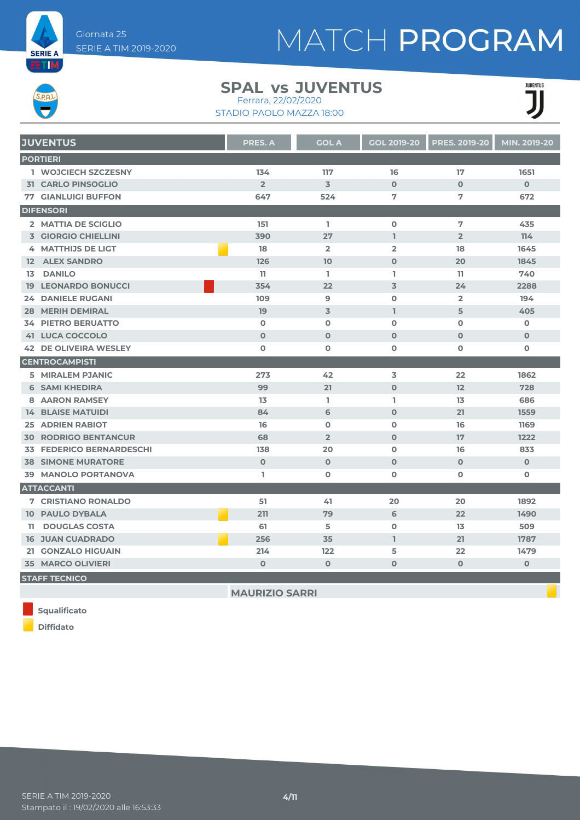

### **SPAL JUVENTUS vs** Ferrara, 22/02/2020

STADIO PAOLO MAZZA 18:00



| <b>JUVENTUS</b>                 | <b>PRES. A</b>        | <b>GOL A</b>    | <b>GOL 2019-20</b> | <b>PRES. 2019-20</b> | MIN. 2019-20 |
|---------------------------------|-----------------------|-----------------|--------------------|----------------------|--------------|
| <b>PORTIERI</b>                 |                       |                 |                    |                      |              |
| 1 WOJCIECH SZCZESNY             | 134                   | 117             | 16                 | 17                   | 1651         |
| <b>31 CARLO PINSOGLIO</b>       | 2 <sup>2</sup>        | $\overline{3}$  | $\mathbf 0$        | $\mathbf 0$          | $\mathbf{O}$ |
| <b>77 GIANLUIGI BUFFON</b>      | 647                   | 524             | 7                  | 7                    | 672          |
| <b>DIFENSORI</b>                |                       |                 |                    |                      |              |
| 2 MATTIA DE SCIGLIO             | 151                   | L.              | $\mathbf 0$        | 7                    | 435          |
| <b>3 GIORGIO CHIELLINI</b>      | 390                   | 27              | $\mathbf{I}$       | $\overline{2}$       | 114          |
| 4 MATTHIJS DE LIGT              | 18                    | $\overline{2}$  | $\overline{2}$     | 18                   | 1645         |
| <b>12 ALEX SANDRO</b>           | 126                   | 10 <sup>1</sup> | $\mathbf 0$        | 20                   | 1845         |
| 13 DANILO                       | 11                    | L.              | I.                 | 11                   | 740          |
| <b>19 LEONARDO BONUCCI</b>      | 354                   | 22              | 3                  | 24                   | 2288         |
| <b>24 DANIELE RUGANI</b>        | 109                   | 9               | $\mathbf 0$        | $\overline{2}$       | 194          |
| <b>28 MERIH DEMIRAL</b>         | 19                    | $\overline{3}$  | $\mathbf{I}$       | 5                    | 405          |
| <b>34 PIETRO BERUATTO</b>       | $\mathbf 0$           | $\mathbf 0$     | $\mathbf 0$        | $\mathbf 0$          | $\mathbf 0$  |
| <b>41 LUCA COCCOLO</b>          | $\mathbf 0$           | $\mathbf 0$     | $\mathbf 0$        | $\mathbf 0$          | $\mathbf 0$  |
| <b>42 DE OLIVEIRA WESLEY</b>    | 0                     | $\mathbf 0$     | 0                  | $\mathbf 0$          | 0            |
| <b>CENTROCAMPISTI</b>           |                       |                 |                    |                      |              |
| 5 MIRALEM PJANIC                | 273                   | 42              | 3                  | 22                   | 1862         |
| <b>6 SAMI KHEDIRA</b>           | 99                    | 21              | $\mathbf{O}$       | 12                   | 728          |
| <b>8 AARON RAMSEY</b>           | 13                    | L.              | L                  | 13                   | 686          |
| <b>14 BLAISE MATUIDI</b>        | 84                    | 6               | $\Omega$           | 21                   | 1559         |
| <b>25 ADRIEN RABIOT</b>         | 16                    | $\mathbf 0$     | $\mathbf 0$        | 16                   | 1169         |
| <b>30 RODRIGO BENTANCUR</b>     | 68                    | $\overline{2}$  | $\mathbf 0$        | 17                   | 1222         |
| <b>33 FEDERICO BERNARDESCHI</b> | 138                   | 20              | $\mathbf{O}$       | 16                   | 833          |
| <b>38 SIMONE MURATORE</b>       | $\mathbf{O}$          | $\mathbf 0$     | $\mathbf{O}$       | $\mathbf{O}$         | $\mathbf{O}$ |
| <b>39 MANOLO PORTANOVA</b>      | L                     | $\mathbf 0$     | $\mathbf 0$        | $\mathbf 0$          | 0            |
| <b>ATTACCANTI</b>               |                       |                 |                    |                      |              |
| <b>7 CRISTIANO RONALDO</b>      | 51                    | 41              | 20                 | 20                   | 1892         |
| <b>10 PAULO DYBALA</b>          | 211                   | 79              | 6                  | 22                   | 1490         |
| 11 DOUGLAS COSTA                | 61                    | 5               | $\mathbf 0$        | 13                   | 509          |
| <b>16 JUAN CUADRADO</b>         | 256                   | 35              | $\mathbf{I}$       | 21                   | 1787         |
| 21 GONZALO HIGUAIN              | 214                   | 122             | 5                  | 22                   | 1479         |
| <b>35 MARCO OLIVIERI</b>        | $\mathbf{O}$          | $\mathbf 0$     | $\mathbf 0$        | $\mathbf 0$          | $\mathbf 0$  |
| <b>STAFF TECNICO</b>            |                       |                 |                    |                      |              |
|                                 | <b>MAURIZIO SARRI</b> |                 |                    |                      |              |

**Squalificato**

**Diffidato**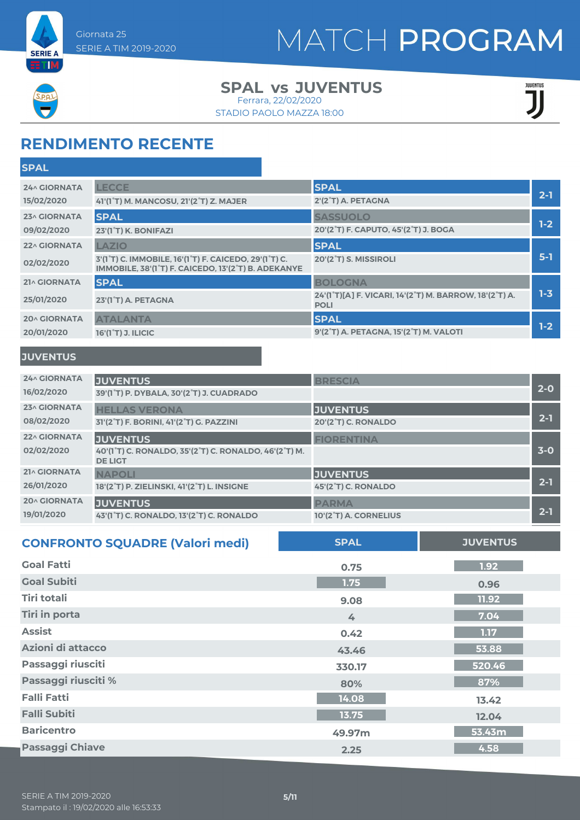



### **SPAL JUVENTUS vs** Ferrara, 22/02/2020

STADIO PAOLO MAZZA 18:00

| <b>JUVENTUS</b> |  |
|-----------------|--|
|                 |  |

## **RENDIMENTO RECENTE**

| <b>SPAL</b><br><b>LECCE</b><br>24^ GIORNATA<br>$2-1$<br>2'(2°T) A. PETAGNA<br>15/02/2020<br>41'(1°T) M. MANCOSU, 21'(2°T) Z. MAJER<br><b>SPAL</b><br><b>SASSUOLO</b><br><b>23^ GIORNATA</b><br>$1-2$<br>20'(2 <sup>°</sup> T) F. CAPUTO, 45'(2 <sup>°</sup> T) J. BOGA<br>09/02/2020<br>23'(1°T) K. BONIFAZI | <b>SPAL</b>         |              |             |  |
|--------------------------------------------------------------------------------------------------------------------------------------------------------------------------------------------------------------------------------------------------------------------------------------------------------------|---------------------|--------------|-------------|--|
|                                                                                                                                                                                                                                                                                                              |                     |              |             |  |
|                                                                                                                                                                                                                                                                                                              |                     |              |             |  |
|                                                                                                                                                                                                                                                                                                              |                     |              |             |  |
|                                                                                                                                                                                                                                                                                                              |                     |              |             |  |
|                                                                                                                                                                                                                                                                                                              | <b>22^ GIORNATA</b> | <b>LAZIO</b> | <b>SPAL</b> |  |
| $5-1$<br>3'(1 <sup>°</sup> T) C. IMMOBILE, 16'(1 <sup>°</sup> T) F. CAICEDO, 29'(1 <sup>°</sup> T) C.<br>20'(2°T) S. MISSIROLI<br>02/02/2020<br>IMMOBILE, 38'(1 <sup>°</sup> T) F. CAICEDO, 13'(2 <sup>°</sup> T) B. ADEKANYE                                                                                |                     |              |             |  |
| <b>SPAL</b><br>21^ GIORNATA<br><b>BOLOGNA</b>                                                                                                                                                                                                                                                                |                     |              |             |  |
| $1 - 3$<br>24'(1°T)[A] F. VICARI, 14'(2°T) M. BARROW, 18'(2°T) A.<br>25/01/2020<br>23'(1 <sup>°</sup> T) A. PETAGNA<br><b>POLI</b>                                                                                                                                                                           |                     |              |             |  |
| <b>SPAL</b><br><b>ATALANTA</b><br><b>20^ GIORNATA</b>                                                                                                                                                                                                                                                        |                     |              |             |  |
| $1-2$<br>9'(2°T) A. PETAGNA, 15'(2°T) M. VALOTI<br>20/01/2020<br>16'(1 <sup>°</sup> T) J. ILICIC                                                                                                                                                                                                             |                     |              |             |  |

### **JUVENTUS**

| <b>24^ GIORNATA</b><br>16/02/2020 | <b>JUVENTUS</b><br>39'(1°T) P. DYBALA, 30'(2°T) J. CUADRADO                                | <b>BRESCIA</b>             | $2 - 0$ |
|-----------------------------------|--------------------------------------------------------------------------------------------|----------------------------|---------|
| 23^ GIORNATA                      | <b>HELLAS VERONA</b>                                                                       | <b>JUVENTUS</b>            | $2 - 1$ |
| 08/02/2020                        | 31'(2°T) F. BORINI, 41'(2°T) G. PAZZINI                                                    | <b>20'(2°T) C. RONALDO</b> |         |
| <b>22^ GIORNATA</b><br>02/02/2020 | <b>JUVENTUS</b><br>40'(1°T) C. RONALDO, 35'(2°T) C. RONALDO, 46'(2°T) M.<br><b>DE LIGT</b> | <b>FIORENTINA</b>          | $3-0$   |
| 21^ GIORNATA                      | <b>NAPOLI</b>                                                                              | <b>JUVENTUS</b>            | $2 - 1$ |
| 26/01/2020                        | 18'(2°T) P. ZIELINSKI, 41'(2°T) L. INSIGNE                                                 | 45'(2°T) C. RONALDO        |         |
| <b>20^ GIORNATA</b>               | <b>JUVENTUS</b>                                                                            | <b>PARMA</b>               | $2 - 1$ |
| 19/01/2020                        | 43'(1°T) C. RONALDO, 13'(2°T) C. RONALDO                                                   | 10'(2°T) A. CORNELIUS      |         |

| <b>CONFRONTO SQUADRE (Valori medi)</b> | <b>SPAL</b> | <b>JUVENTUS</b> |
|----------------------------------------|-------------|-----------------|
| <b>Goal Fatti</b>                      | 0.75        | 1.92            |
| <b>Goal Subiti</b>                     | 1.75        | 0.96            |
| <b>Tiri totali</b>                     | 9.08        | 11.92           |
| <b>Tiri in porta</b>                   | 4           | 7.04            |
| <b>Assist</b>                          | 0.42        | 1.17            |
| Azioni di attacco                      | 43.46       | 53.88           |
| Passaggi riusciti                      | 330.17      | 520.46          |
| Passaggi riusciti %                    | 80%         | 87%             |
| <b>Falli Fatti</b>                     | 14.08       | 13.42           |
| <b>Falli Subiti</b>                    | 13.75       | 12.04           |
| <b>Baricentro</b>                      | 49.97m      | 53.43m          |
| <b>Passaggi Chiave</b>                 | 2.25        | 4.58            |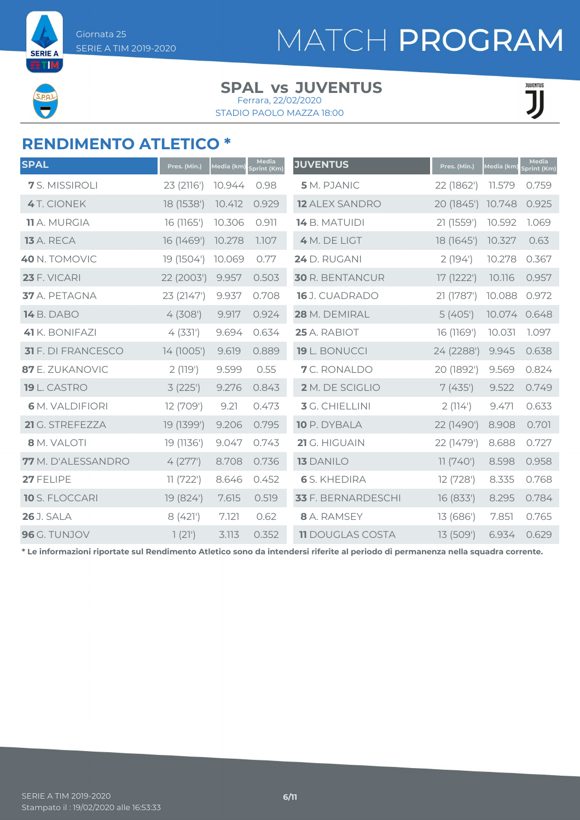**SERIE A ETM** 

# MATCH PROGRAM

### **SPAL JUVENTUS vs** Ferrara, 22/02/2020

STADIO PAOLO MAZZA 18:00

**JUVENTUS** ĴĴ

### **RENDIMENTO ATLETICO \***

| <b>SPAL</b>               | Pres. (Min.) | Media (km) | Media<br>Sprint (Km) | <b>JUVENTUS</b>         | Pres. (Min.) | Media (km) | <b>Media</b><br><b>Sprint (Km)</b> |
|---------------------------|--------------|------------|----------------------|-------------------------|--------------|------------|------------------------------------|
| 7 S. MISSIROLI            | 23 (2116')   | 10.944     | 0.98                 | 5 M. PJANIC             | 22 (1862')   | 11.579     | 0.759                              |
| <b>4</b> T. CIONEK        | 18 (1538')   | 10.412     | 0.929                | <b>12 ALEX SANDRO</b>   | 20 (1845')   | 10.748     | 0.925                              |
| <b>11</b> A. MURGIA       | 16 (1165')   | 10.306     | 0.911                | 14 B. MATUIDI           | 21 (1559')   | 10.592     | 1.069                              |
| <b>13</b> A. RECA         | 16 (1469')   | 10.278     | 1.107                | 4 M. DE LIGT            | 18 (1645')   | 10.327     | 0.63                               |
| 40 N. TOMOVIC             | 19 (1504')   | 10.069     | 0.77                 | 24 D. RUGANI            | 2(194)       | 10.278     | 0.367                              |
| <b>23 F. VICARI</b>       | 22 (2003')   | 9.957      | 0.503                | <b>30 R. BENTANCUR</b>  | 17 (1222')   | 10.116     | 0.957                              |
| 37 A. PETAGNA             | 23 (2147')   | 9.937      | 0.708                | 16 J. CUADRADO          | 21 (1787')   | 10.088     | 0.972                              |
| <b>14</b> B. DABO         | 4(308)       | 9.917      | 0.924                | 28 M. DEMIRAL           | 5(405)       | 10.074     | 0.648                              |
| 41 K. BONIFAZI            | 4(331)       | 9.694      | 0.634                | 25 A. RABIOT            | 16 (1169')   | 10.031     | 1.097                              |
| <b>31</b> F. DI FRANCESCO | 14 (1005')   | 9.619      | 0.889                | 19 L. BONUCCI           | 24 (2288')   | 9.945      | 0.638                              |
| 87 E. ZUKANOVIC           | 2(119')      | 9.599      | 0.55                 | 7 C. RONALDO            | 20 (1892')   | 9.569      | 0.824                              |
| 19 L. CASTRO              | 3(225)       | 9.276      | 0.843                | 2 M. DE SCIGLIO         | 7(435)       | 9.522      | 0.749                              |
| <b>6</b> M. VALDIFIORI    | 12 (709')    | 9.21       | 0.473                | 3 G. CHIELLINI          | 2(114)       | 9.471      | 0.633                              |
| 21 G. STREFEZZA           | 19 (1399')   | 9.206      | 0.795                | 10 P. DYBALA            | 22 (1490')   | 8.908      | 0.701                              |
| 8 M. VALOTI               | 19 (1136')   | 9.047      | 0.743                | 21 G. HIGUAIN           | 22 (1479')   | 8.688      | 0.727                              |
| <b>77</b> M. D'ALESSANDRO | 4(277)       | 8.708      | 0.736                | <b>13 DANILO</b>        | 11(740)      | 8.598      | 0.958                              |
| 27 FELIPE                 | 11(722')     | 8.646      | 0.452                | <b>6</b> S. KHEDIRA     | 12 (728')    | 8.335      | 0.768                              |
| <b>10</b> S. FLOCCARI     | 19 (824')    | 7.615      | 0.519                | 33 F. BERNARDESCHI      | 16 (833')    | 8.295      | 0.784                              |
| <b>26</b> J. SALA         | 8 (421')     | 7.121      | 0.62                 | 8 A. RAMSEY             | 13 (686')    | 7.851      | 0.765                              |
| 96 G. TUNJOV              | 1(21)        | 3.113      | 0.352                | <b>11 DOUGLAS COSTA</b> | 13 (509')    | 6.934      | 0.629                              |

**\* Le informazioni riportate sul Rendimento Atletico sono da intendersi riferite al periodo di permanenza nella squadra corrente.**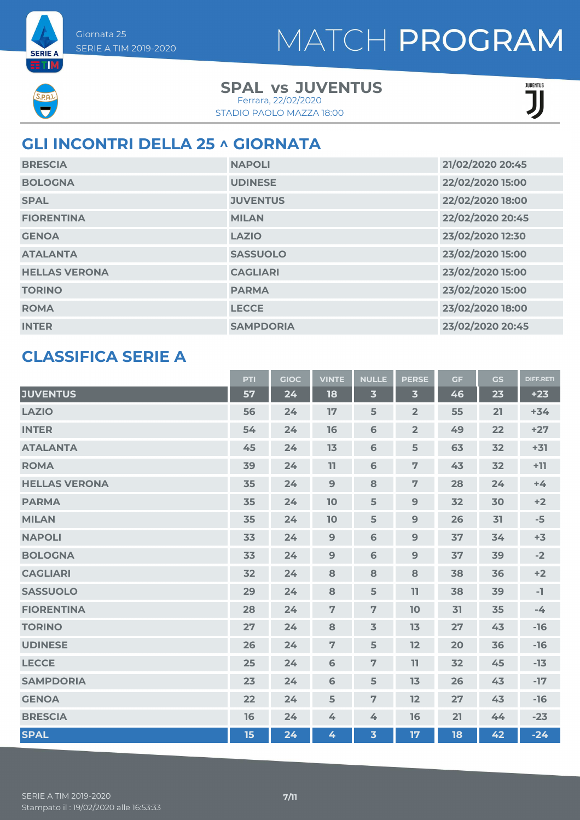**SERIE A** ETM

### **SPAL JUVENTUS vs** Ferrara, 22/02/2020

STADIO PAOLO MAZZA 18:00

| JUVENTUS |  |
|----------|--|
|          |  |
|          |  |
|          |  |

## **GLI INCONTRI DELLA 25 ^ GIORNATA**

| <b>BRESCIA</b>       | <b>NAPOLI</b>    | 21/02/2020 20:45 |
|----------------------|------------------|------------------|
| <b>BOLOGNA</b>       | <b>UDINESE</b>   | 22/02/2020 15:00 |
| <b>SPAL</b>          | <b>JUVENTUS</b>  | 22/02/2020 18:00 |
| <b>FIORENTINA</b>    | <b>MILAN</b>     | 22/02/2020 20:45 |
| <b>GENOA</b>         | <b>LAZIO</b>     | 23/02/2020 12:30 |
| <b>ATALANTA</b>      | <b>SASSUOLO</b>  | 23/02/2020 15:00 |
| <b>HELLAS VERONA</b> | <b>CAGLIARI</b>  | 23/02/2020 15:00 |
| <b>TORINO</b>        | <b>PARMA</b>     | 23/02/2020 15:00 |
| <b>ROMA</b>          | <b>LECCE</b>     | 23/02/2020 18:00 |
| <b>INTER</b>         | <b>SAMPDORIA</b> | 23/02/2020 20:45 |

## **CLASSIFICA SERIE A**

|                      | PTI | <b>GIOC</b> | <b>VINTE</b>   | <b>NULLE</b>            | <b>PERSE</b>            | <b>GF</b> | <b>GS</b> | <b>DIFF.RETI</b> |
|----------------------|-----|-------------|----------------|-------------------------|-------------------------|-----------|-----------|------------------|
| <b>JUVENTUS</b>      | 57  | 24          | 18             | $\overline{\mathbf{3}}$ | $\overline{\mathbf{3}}$ | 46        | 23        | $+23$            |
| <b>LAZIO</b>         | 56  | 24          | 17             | 5                       | $\overline{2}$          | 55        | 21        | $+34$            |
| <b>INTER</b>         | 54  | 24          | 16             | 6                       | $\overline{2}$          | 49        | 22        | $+27$            |
| <b>ATALANTA</b>      | 45  | 24          | 13             | 6                       | 5                       | 63        | 32        | $+31$            |
| <b>ROMA</b>          | 39  | 24          | 11             | 6                       | $\overline{7}$          | 43        | 32        | $+11$            |
| <b>HELLAS VERONA</b> | 35  | 24          | $\overline{9}$ | 8                       | $\overline{7}$          | 28        | 24        | $+4$             |
| <b>PARMA</b>         | 35  | 24          | 10             | 5                       | 9                       | 32        | 30        | $+2$             |
| <b>MILAN</b>         | 35  | 24          | 10             | 5                       | 9                       | 26        | 31        | $-5$             |
| <b>NAPOLI</b>        | 33  | 24          | 9              | 6                       | 9                       | 37        | 34        | $+3$             |
| <b>BOLOGNA</b>       | 33  | 24          | 9              | 6                       | 9                       | 37        | 39        | $-2$             |
| <b>CAGLIARI</b>      | 32  | 24          | 8              | 8                       | 8                       | 38        | 36        | $+2$             |
| <b>SASSUOLO</b>      | 29  | 24          | 8              | 5                       | 11                      | 38        | 39        | -1               |
| <b>FIORENTINA</b>    | 28  | 24          | $\overline{7}$ | $\overline{7}$          | 10                      | 31        | 35        | $-4$             |
| <b>TORINO</b>        | 27  | 24          | 8              | $\overline{3}$          | 13                      | 27        | 43        | $-16$            |
| <b>UDINESE</b>       | 26  | 24          | $\overline{7}$ | 5                       | 12                      | 20        | 36        | $-16$            |
| <b>LECCE</b>         | 25  | 24          | 6              | $\overline{7}$          | 11                      | 32        | 45        | $-13$            |
| <b>SAMPDORIA</b>     | 23  | 24          | 6              | 5                       | 13                      | 26        | 43        | $-17$            |
| <b>GENOA</b>         | 22  | 24          | 5              | $\overline{7}$          | 12                      | 27        | 43        | $-16$            |
| <b>BRESCIA</b>       | 16  | 24          | 4              | 4                       | 16                      | 21        | 44        | $-23$            |
| <b>SPAL</b>          | 15  | 24          | 4              | $\overline{\mathbf{3}}$ | 17                      | 18        | 42        | $-24$            |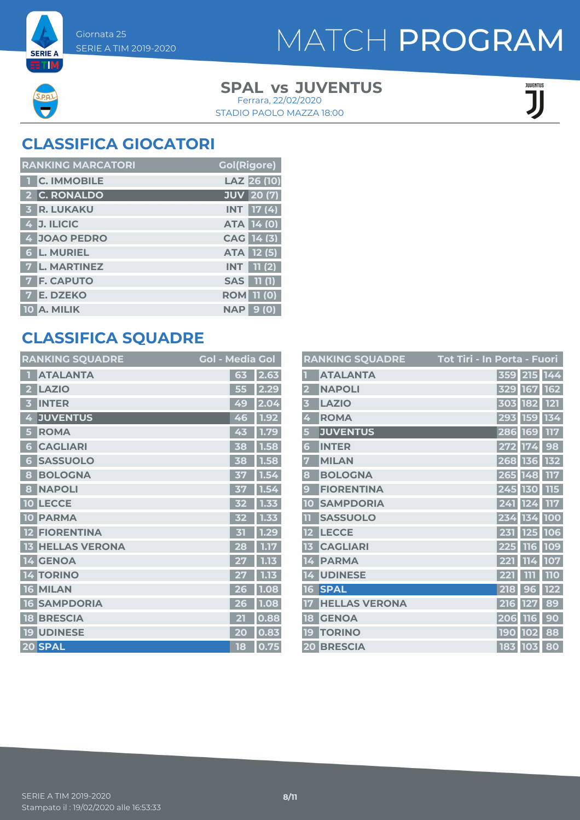**SERIE A ETM** 

# MATCH PROGRAM

### **SPAL JUVENTUS vs** STADIO PAOLO MAZZA 18:00 Ferrara, 22/02/2020

**JULENTUS** 

## **CLASSIFICA GIOCATORI**

| <b>RANKING MARCATORI</b> | <b>Gol(Rigore)</b>   |
|--------------------------|----------------------|
| 1 C. IMMOBILE            | LAZ 26 (10)          |
| 2 C. RONALDO             | JUV 20 (7)           |
| <b>3 R. LUKAKU</b>       | <b>INT</b> 17 (4)    |
| 4 J. ILICIC              | ATA 14 (0)           |
| 4 JOAO PEDRO             | CAG 14 (3)           |
| <b>6 L. MURIEL</b>       | ATA 12(5)            |
| 7 L. MARTINEZ            | 11 (2)<br><b>INT</b> |
| <b>F. CAPUTO</b>         | 11(1)<br><b>SAS</b>  |
| <b>E. DZEKO</b>          | <b>ROM</b> 11 (0)    |
| 10 A. MILIK              | 9 (0)<br><b>NAP</b>  |

## **CLASSIFICA SQUADRE**

| <b>RANKING SQUADRE</b>          | <b>Gol - Media Gol</b> |      |
|---------------------------------|------------------------|------|
| <b>ATALANTA</b>                 | 63                     | 2.63 |
| <b>LAZIO</b><br>2               | 55                     | 2.29 |
| <b>INTER</b><br>B               | 49                     | 2.04 |
| <b>JUVENTUS</b><br>4            | 46                     | 1.92 |
| <b>ROMA</b><br>5                | 43                     | 1.79 |
| <b>CAGLIARI</b><br>6            | 38                     | 1.58 |
| <b>SASSUOLO</b><br>6            | 38                     | 1.58 |
| <b>BOLOGNA</b><br>8             | 37                     | 1.54 |
| <b>NAPOLI</b><br>8              | 37                     | 1.54 |
| <b>LECCE</b><br>10              | 32                     | 1.33 |
| <b>PARMA</b><br>10              | 32                     | 1.33 |
| <b>FIORENTINA</b>               | 内                      | 1.29 |
| <b>HELLAS VERONA</b><br>13      | 28                     | 1.17 |
| 14 GENOA                        | 27                     | 1.13 |
| <b>TORINO</b><br>ΠZ<br>4        |                        | 1.13 |
| <b>MILAN</b><br>16 <sup>1</sup> | 26                     | 1.08 |
| <b>SAMPDORIA</b><br>16          | 26                     | 1.08 |
| <b>BRESCIA</b><br>18            | 21                     | 0.88 |
| <b>19 UDINESE</b>               | 20                     | 0.83 |
| 20 SPAL                         | 18                     | 0.75 |

|                         | <b>RANKING SQUADRE</b> | Tot Tiri - In Porta - Fuori    |
|-------------------------|------------------------|--------------------------------|
|                         | <b>ATALANTA</b>        | 359 215 144                    |
| $\overline{\mathbf{2}}$ | <b>NAPOLI</b>          | 329<br><b>162</b><br>167       |
| 3                       | <b>LAZIO</b>           | 121<br>182<br>303              |
| 4                       | <b>ROMA</b>            | 293<br><b>159</b><br>134       |
| 5                       | <b>JUVENTUS</b>        | 286<br><b>169</b><br>117       |
| 6                       | <b>INTER</b>           | 98<br>272<br>174               |
| 7                       | <b>MILAN</b>           | 132<br>268<br><b>136</b>       |
| 8                       | <b>BOLOGNA</b>         | 148<br>265<br>117              |
| 9                       | <b>FIORENTINA</b>      | 130<br>115<br>245              |
| 10                      | <b>SAMPDORIA</b>       | 241<br>124<br>117              |
| TT                      | <b>SASSUOLO</b>        | 234<br>134<br><b>100</b>       |
| 12                      | <b>LECCE</b>           | 231<br>106<br>125              |
| 13                      | <b>CAGLIARI</b>        | 116<br>109<br>225              |
| 14                      | <b>PARMA</b>           | 107<br>114<br>221              |
| 14                      | <b>UDINESE</b>         | <b>110</b><br>221<br>m         |
| 16                      | <b>SPAL</b>            | 122<br>218<br>9<br>6           |
| 17                      | <b>HELLAS VERONA</b>   | 89<br>6<br>127<br>21           |
| 18                      | <b>GENOA</b>           | 90<br>206<br><b>116</b>        |
| 19                      | <b>TORINO</b>          | <b>190</b><br>88<br><b>102</b> |
|                         | 20 BRESCIA             | 183 103<br>80                  |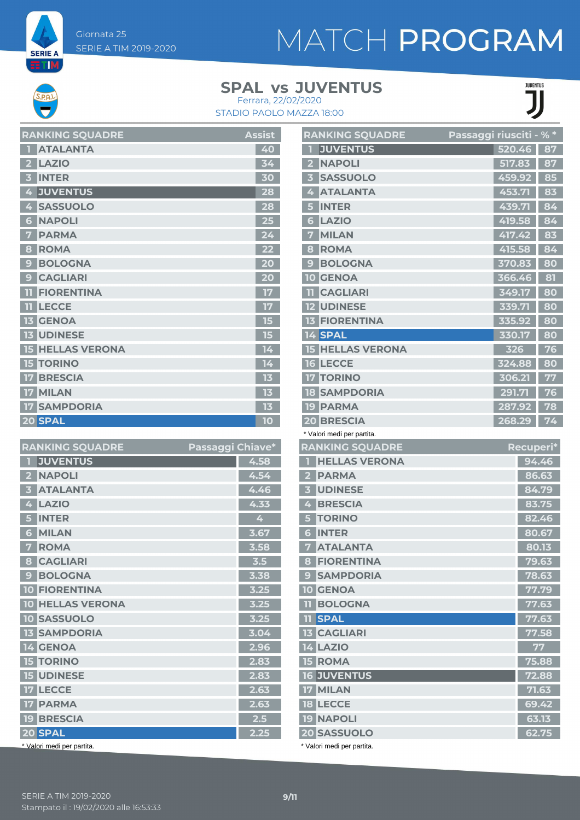**SERIE A ETM** 

### **SPAL JUVENTUS vs** Ferrara, 22/02/2020

STADIO PAOLO MAZZA 18:00



| <b>RANKING SQUADRE</b>  | <b>Assist</b> |
|-------------------------|---------------|
| <b>ATALANTA</b>         | 40            |
| <b>LAZIO</b>            | 34            |
| <b>INTER</b><br>В       | 30            |
| <b>JUVENTUS</b><br>4    | 28            |
| <b>SASSUOLO</b><br>4    | 28            |
| <b>NAPOLI</b><br>Ġ      | 25            |
| <b>PARMA</b><br>Ÿ.      | 24            |
| <b>ROMA</b><br>8        | 22            |
| <b>BOLOGNA</b><br>9     | 20            |
| <b>CAGLIARI</b><br>9    | 20            |
| <b>FIORENTINA</b><br>m  | 17            |
| <b>LECCE</b><br>11      | 17            |
| <b>GENOA</b><br>13      | 15            |
| <b>13 UDINESE</b>       | 15            |
| <b>15 HELLAS VERONA</b> | 14            |
| <b>TORINO</b><br>15     | 14            |
| <b>BRESCIA</b>          | 13            |
| <b>MILAN</b><br>17      | 13            |
| <b>SAMPDORIA</b><br>17  | 13            |
| 20 SPAL                 | 10            |

| <b>RANKING SQUADRE</b>                   | Passaggi Chiave* |      |
|------------------------------------------|------------------|------|
| <b>JUVENTUS</b><br>П                     |                  | 4.58 |
| <b>NAPOLI</b><br>$\overline{\mathbf{2}}$ |                  | 4.54 |
| <b>ATALANTA</b><br>3                     |                  | 4.46 |
| <b>LAZIO</b><br>4                        |                  | 4.33 |
| <b>INTER</b><br>5                        |                  | 4    |
| <b>MILAN</b><br>6                        |                  | 3.67 |
| <b>ROMA</b><br>7                         |                  | 3.58 |
| <b>CAGLIARI</b><br>8                     |                  | 3.5  |
| <b>BOLOGNA</b><br>9                      |                  | 3.38 |
| <b>10 FIORENTINA</b>                     |                  | 3.25 |
| <b>10 HELLAS VERONA</b>                  |                  | 3.25 |
| <b>10 SASSUOLO</b>                       |                  | 3.25 |
| <b>13 SAMPDORIA</b>                      |                  | 3.04 |
| <b>14 GENOA</b>                          |                  | 2.96 |
| <b>15 TORINO</b>                         |                  | 2.83 |
| <b>15 UDINESE</b>                        |                  | 2.83 |
| <b>17 LECCE</b>                          |                  | 2.63 |
| <b>17 PARMA</b>                          |                  | 2.63 |
| <b>19 BRESCIA</b>                        |                  | 2.5  |
| 20 SPAL                                  |                  | 2.25 |
| * Valori medi ner nartita                |                  |      |

| <b>RANKING SQUADRE</b>            | Passaggi riusciti - % * |        |           |
|-----------------------------------|-------------------------|--------|-----------|
| <b>JUVENTUS</b><br>П              |                         | 520.46 | 87        |
| 2 NAPOLI                          |                         | 517.83 | 87        |
| <b>SASSUOLO</b><br>3.             |                         | 459.92 | 85        |
| <b>ATALANTA</b><br>4              |                         | 453.71 | 83        |
| <b>INTER</b><br>5                 |                         | 439.71 | 84        |
| <b>LAZIO</b><br>6                 |                         | 419.58 | 84        |
| <b>MILAN</b><br>7                 |                         | 417.42 | 83        |
| <b>ROMA</b><br>8                  |                         | 415.58 | 84        |
| <b>BOLOGNA</b><br>9               |                         | 370.83 | 80        |
| <b>10 GENOA</b>                   |                         | 366.46 | 81        |
| <b>CAGLIARI</b><br>11             |                         | 349.17 | 80        |
| <b>12 UDINESE</b>                 |                         | 339.71 | 80        |
| <b>13 FIORENTINA</b>              |                         | 335.92 | 80        |
| 14 SPAL                           |                         | 330.17 | 80        |
| <b>15 HELLAS VERONA</b>           |                         | 326    | 76        |
| <b>16 LECCE</b>                   |                         | 324.88 | 80        |
| <b>TORINO</b><br>17 <sup>1</sup>  |                         | 306.21 | 77        |
| <b>18 SAMPDORIA</b>               |                         | 291.71 | 76        |
| <b>19 PARMA</b>                   |                         | 287.92 | 78        |
| <b>20 BRESCIA</b>                 |                         | 268.29 | 74        |
| * Valori medi per partita.        |                         |        |           |
| <b>RANKING SQUADRE</b>            |                         |        | Recuperi* |
| <b>HELLAS VERONA</b><br>П         |                         |        | 94.46     |
| <b>PARMA</b><br>$\overline{2}$    |                         |        | 86.63     |
| <b>UDINESE</b><br>3 <sup>7</sup>  |                         |        | 84.79     |
| $\frac{1}{2}$<br><b>BRESCIA</b>   |                         |        | 83.75     |
| <b>TORINO</b><br>$5\overline{)}$  |                         |        | 82.46     |
| <b>INTER</b><br>6                 |                         |        | 80.67     |
| <b>ATALANTA</b><br>$\overline{7}$ |                         |        | 80.13     |
| <b>8 FIORENTINA</b>               |                         |        | 79.63     |
| 9 SAMPDORIA                       |                         |        | 78.63     |
| <b>10 GENOA</b>                   |                         |        | 77.79     |
| <b>11 BOLOGNA</b>                 |                         |        | 77.63     |
| <b>11 SPAL</b>                    |                         |        | 77.63     |
| <b>13 CAGLIARI</b>                |                         |        | 77.58     |
| <b>14 LAZIO</b>                   |                         |        | 77        |
| <b>15 ROMA</b>                    |                         |        | 75.88     |
| <b>16 JUVENTUS</b>                |                         |        | 72.88     |
| <b>17 MILAN</b>                   |                         |        | 71.63     |
| <b>18 LECCE</b>                   |                         |        | 69.42     |
| <b>19 NAPOLI</b>                  |                         |        | 63.13     |
| 20 SASSUOLO                       |                         |        | 62.75     |

\* Valori medi per partita.

\* Valori medi per partita.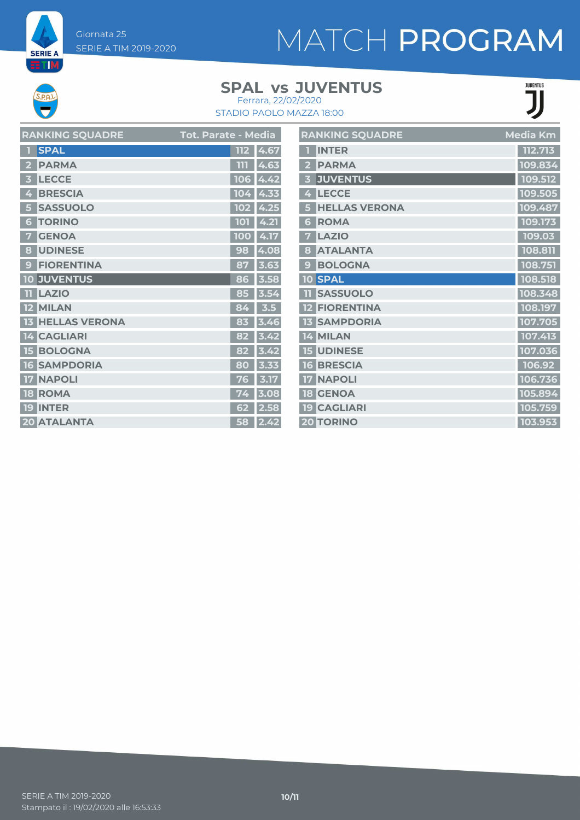Giornata 25 SERIE A TIM 2019-2020

**SERIE A ET M** 

# MATCH PROGRAM

## **SPAL JUVENTUS vs**

**JUENTUS** 

| Ferrara, 22/02/2020      |
|--------------------------|
| STADIO PAOLO MAZZA 18:00 |

| 112<br>4.67 |
|-------------|
| 4.63<br>ווו |
| 106<br>4.42 |
| 104<br>4.33 |
| 4.25<br>102 |
| 4.21<br>101 |
| 4.17<br>100 |
| 98<br>4.08  |
| 87<br>3.63  |
| 3.58<br>86  |
| 85<br>3.54  |
| 3.5<br>84   |
| 83<br>3.46  |
| 82<br>3.42  |
| 82<br>3.42  |
| 80<br>3.33  |
| 3.17<br>76  |
| 3.08<br>74  |
| 2.58<br>62  |
| 58<br>2.42  |
|             |

|                         | <b>RANKING SQUADRE</b> | Media Km |
|-------------------------|------------------------|----------|
|                         | <b>INTER</b>           | 112.713  |
| $\overline{\mathbf{2}}$ | <b>PARMA</b>           | 109.834  |
| 3                       | <b>JUVENTUS</b>        | 109.512  |
| 4                       | <b>LECCE</b>           | 109.505  |
| 5                       | <b>HELLAS VERONA</b>   | 109.487  |
| 6                       | <b>ROMA</b>            | 109.173  |
| 7                       | <b>LAZIO</b>           | 109.03   |
| 8                       | <b>ATALANTA</b>        | 108.811  |
| $\mathbf{g}$            | <b>BOLOGNA</b>         | 108.751  |
|                         | <b>10 SPAL</b>         | 108.518  |
| 11                      | <b>SASSUOLO</b>        | 108.348  |
|                         | <b>12 FIORENTINA</b>   | 108.197  |
| 13                      | <b>SAMPDORIA</b>       | 107.705  |
|                         | 14 MILAN               | 107.413  |
|                         | <b>15 UDINESE</b>      | 107.036  |
| <b>16</b>               | <b>BRESCIA</b>         | 106.92   |
| 17                      | <b>NAPOLI</b>          | 106.736  |
| 18                      | <b>GENOA</b>           | 105.894  |
|                         | <b>19 CAGLIARI</b>     | 105.759  |
|                         | <b>20 TORINO</b>       | 103.953  |